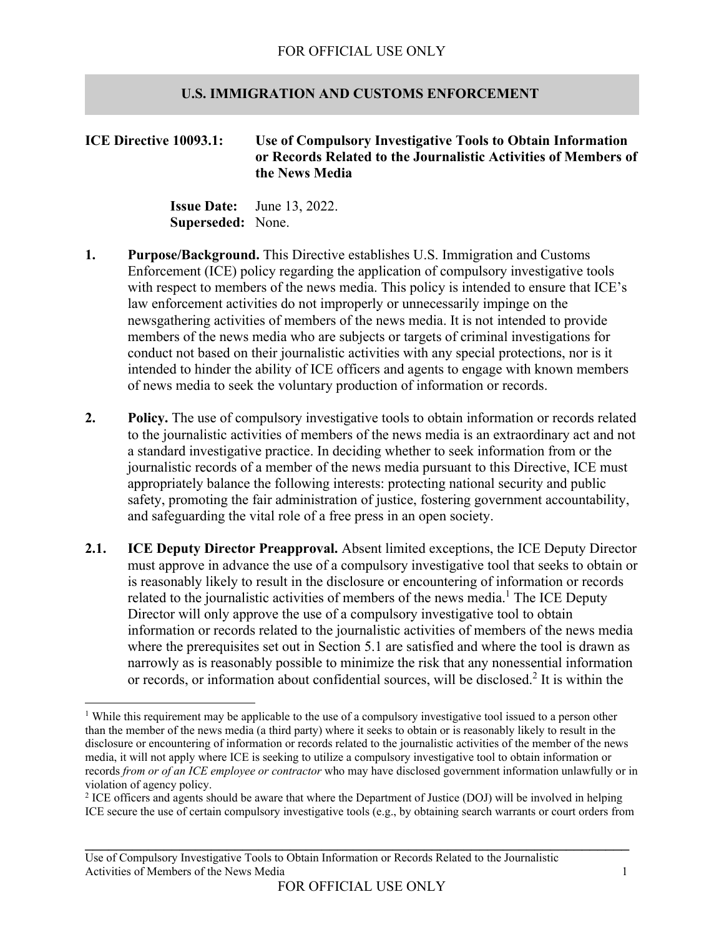## **U.S. IMMIGRATION AND CUSTOMS ENFORCEMENT**

**ICE Directive 10093.1: Use of Compulsory Investigative Tools to Obtain Information or Records Related to the Journalistic Activities of Members of the News Media** 

> **Issue Date:** June 13, 2022.  **Superseded:** None.

- **1. Purpose/Background.** This Directive establishes U.S. Immigration and Customs Enforcement (ICE) policy regarding the application of compulsory investigative tools with respect to members of the news media. This policy is intended to ensure that ICE's law enforcement activities do not improperly or unnecessarily impinge on the newsgathering activities of members of the news media. It is not intended to provide members of the news media who are subjects or targets of criminal investigations for conduct not based on their journalistic activities with any special protections, nor is it intended to hinder the ability of ICE officers and agents to engage with known members of news media to seek the voluntary production of information or records.
- **2. Policy.** The use of compulsory investigative tools to obtain information or records related to the journalistic activities of members of the news media is an extraordinary act and not a standard investigative practice. In deciding whether to seek information from or the journalistic records of a member of the news media pursuant to this Directive, ICE must appropriately balance the following interests: protecting national security and public safety, promoting the fair administration of justice, fostering government accountability, and safeguarding the vital role of a free press in an open society.
- **2.1. ICE Deputy Director Preapproval.** Absent limited exceptions, the ICE Deputy Director must approve in advance the use of a compulsory investigative tool that seeks to obtain or is reasonably likely to result in the disclosure or encountering of information or records related to the journalistic activities of members of the news media.<sup>1</sup> The ICE Deputy Director will only approve the use of a compulsory investigative tool to obtain information or records related to the journalistic activities of members of the news media where the prerequisites set out in Section 5.1 are satisfied and where the tool is drawn as narrowly as is reasonably possible to minimize the risk that any nonessential information or records, or information about confidential sources, will be disclosed.<sup>2</sup> It is within the

\_\_\_\_\_\_\_\_\_\_\_\_\_\_\_\_\_\_\_\_\_\_\_\_\_\_\_\_\_\_\_\_\_\_\_\_\_\_\_\_\_\_\_\_\_\_\_\_\_\_\_\_\_\_\_\_\_\_\_\_\_\_\_\_\_\_\_\_\_

<sup>&</sup>lt;sup>1</sup> While this requirement may be applicable to the use of a compulsory investigative tool issued to a person other than the member of the news media (a third party) where it seeks to obtain or is reasonably likely to result in the disclosure or encountering of information or records related to the journalistic activities of the member of the news media, it will not apply where ICE is seeking to utilize a compulsory investigative tool to obtain information or records *from or of an ICE employee or contractor* who may have disclosed government information unlawfully or in violation of agency policy.

<sup>&</sup>lt;sup>2</sup> ICE officers and agents should be aware that where the Department of Justice (DOJ) will be involved in helping ICE secure the use of certain compulsory investigative tools (e.g., by obtaining search warrants or court orders from

Use of Compulsory Investigative Tools to Obtain Information or Records Related to the Journalistic Activities of Members of the News Media 1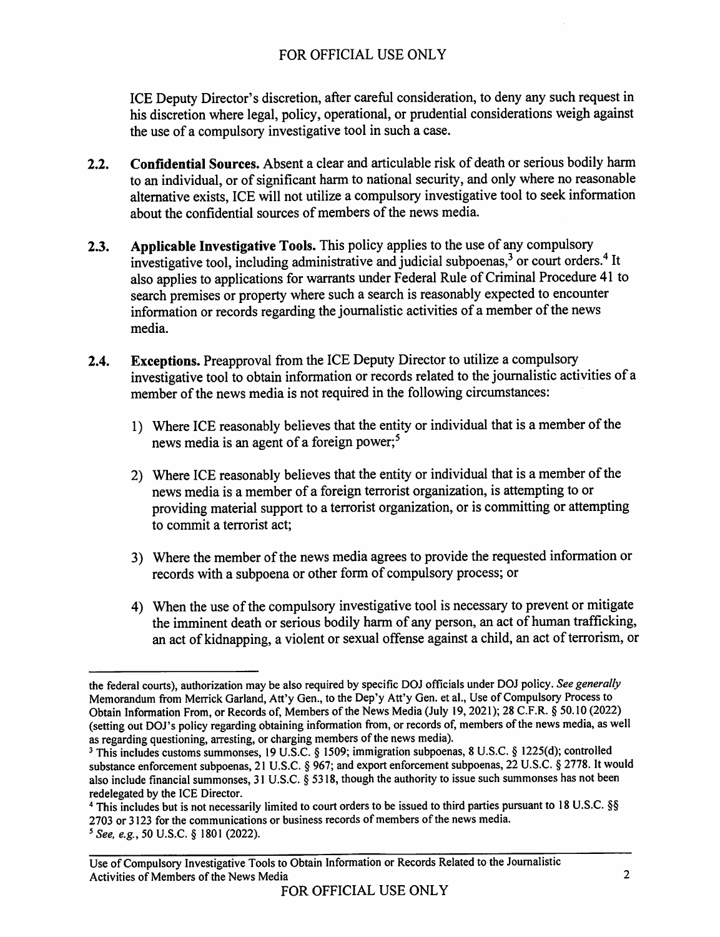ICE Deputy Director's discretion, after careful consideration, to deny any such request in his discretion where legal, policy, operational, or prudential considerations weigh against the use of a compulsory investigative tool in such a case.

- **Confidential Sources.** Absent a clear and articulable risk of death or serious bodily harm  $2.2.$ to an individual, or of significant harm to national security, and only where no reasonable alternative exists. ICE will not utilize a compulsory investigative tool to seek information about the confidential sources of members of the news media.
- Applicable Investigative Tools. This policy applies to the use of any compulsory  $2.3.$ investigative tool, including administrative and judicial subpoenas,<sup>3</sup> or court orders.<sup>4</sup> It also applies to applications for warrants under Federal Rule of Criminal Procedure 41 to search premises or property where such a search is reasonably expected to encounter information or records regarding the journalistic activities of a member of the news media.
- Exceptions. Preapproval from the ICE Deputy Director to utilize a compulsory  $2.4.$ investigative tool to obtain information or records related to the journalistic activities of a member of the news media is not required in the following circumstances:
	- 1) Where ICE reasonably believes that the entity or individual that is a member of the news media is an agent of a foreign power;<sup>5</sup>
	- 2) Where ICE reasonably believes that the entity or individual that is a member of the news media is a member of a foreign terrorist organization, is attempting to or providing material support to a terrorist organization, or is committing or attempting to commit a terrorist act:
	- 3) Where the member of the news media agrees to provide the requested information or records with a subpoena or other form of compulsory process; or
	- 4) When the use of the compulsory investigative tool is necessary to prevent or mitigate the imminent death or serious bodily harm of any person, an act of human trafficking, an act of kidnapping, a violent or sexual offense against a child, an act of terrorism, or

the federal courts), authorization may be also required by specific DOJ officials under DOJ policy. See generally Memorandum from Merrick Garland, Att'y Gen., to the Dep'y Att'y Gen. et al., Use of Compulsory Process to Obtain Information From, or Records of, Members of the News Media (July 19, 2021); 28 C.F.R. § 50.10 (2022) (setting out DOJ's policy regarding obtaining information from, or records of, members of the news media, as well as regarding questioning, arresting, or charging members of the news media).

<sup>&</sup>lt;sup>3</sup> This includes customs summonses, 19 U.S.C. § 1509; immigration subpoenas, 8 U.S.C. § 1225(d); controlled substance enforcement subpoenas, 21 U.S.C. § 967; and export enforcement subpoenas, 22 U.S.C. § 2778. It would also include financial summonses, 31 U.S.C. § 5318, though the authority to issue such summonses has not been redelegated by the ICE Director.

<sup>&</sup>lt;sup>4</sup> This includes but is not necessarily limited to court orders to be issued to third parties pursuant to 18 U.S.C. §§ 2703 or 3123 for the communications or business records of members of the news media.

<sup>&</sup>lt;sup>5</sup> See, e.g., 50 U.S.C. § 1801 (2022).

Use of Compulsory Investigative Tools to Obtain Information or Records Related to the Journalistic Activities of Members of the News Media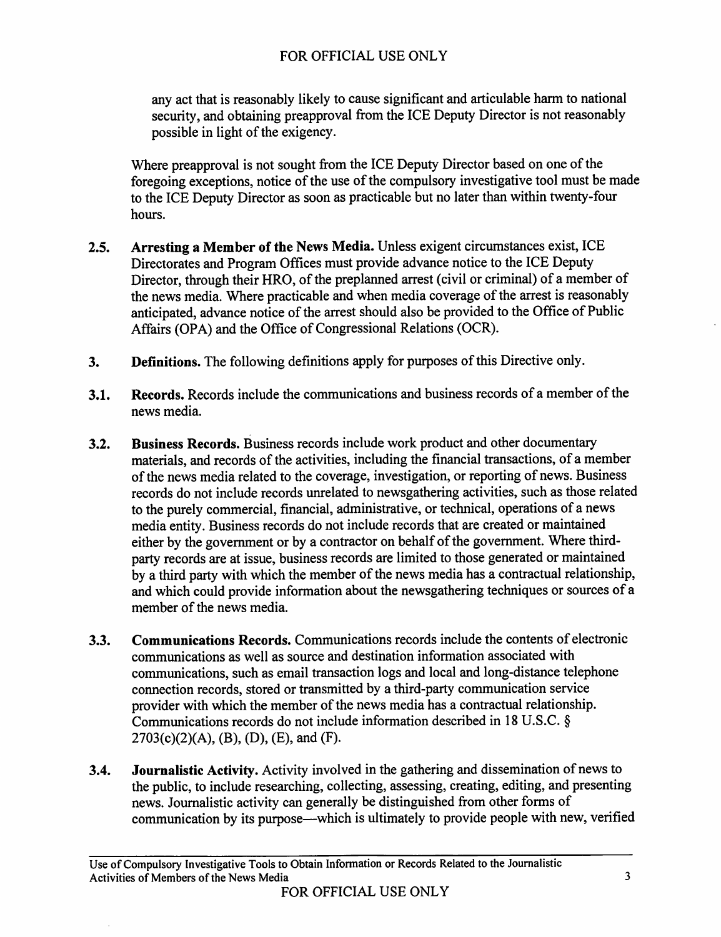any act that is reasonably likely to cause significant and articulable harm to national security, and obtaining preapproval from the ICE Deputy Director is not reasonably possible in light of the exigency.

Where preapproval is not sought from the ICE Deputy Director based on one of the foregoing exceptions, notice of the use of the compulsory investigative tool must be made to the ICE Deputy Director as soon as practicable but no later than within twenty-four hours.

- Arresting a Member of the News Media. Unless exigent circumstances exist, ICE  $2.5.$ Directorates and Program Offices must provide advance notice to the ICE Deputy Director, through their HRO, of the preplanned arrest (civil or criminal) of a member of the news media. Where practicable and when media coverage of the arrest is reasonably anticipated, advance notice of the arrest should also be provided to the Office of Public Affairs (OPA) and the Office of Congressional Relations (OCR).
- Definitions. The following definitions apply for purposes of this Directive only.  $3.$
- Records. Records include the communications and business records of a member of the  $3.1.$ news media.
- $3.2.$ **Business Records.** Business records include work product and other documentary materials, and records of the activities, including the financial transactions, of a member of the news media related to the coverage, investigation, or reporting of news. Business records do not include records unrelated to newsgathering activities, such as those related to the purely commercial, financial, administrative, or technical, operations of a news media entity. Business records do not include records that are created or maintained either by the government or by a contractor on behalf of the government. Where thirdparty records are at issue, business records are limited to those generated or maintained by a third party with which the member of the news media has a contractual relationship, and which could provide information about the newsgathering techniques or sources of a member of the news media.
- Communications Records. Communications records include the contents of electronic  $3.3.$ communications as well as source and destination information associated with communications, such as email transaction logs and local and long-distance telephone connection records, stored or transmitted by a third-party communication service provider with which the member of the news media has a contractual relationship. Communications records do not include information described in 18 U.S.C. §  $2703(c)(2)(A), (B), (D), (E),$  and  $(F)$ .
- Journalistic Activity. Activity involved in the gathering and dissemination of news to  $3.4.$ the public, to include researching, collecting, assessing, creating, editing, and presenting news. Journalistic activity can generally be distinguished from other forms of communication by its purpose—which is ultimately to provide people with new, verified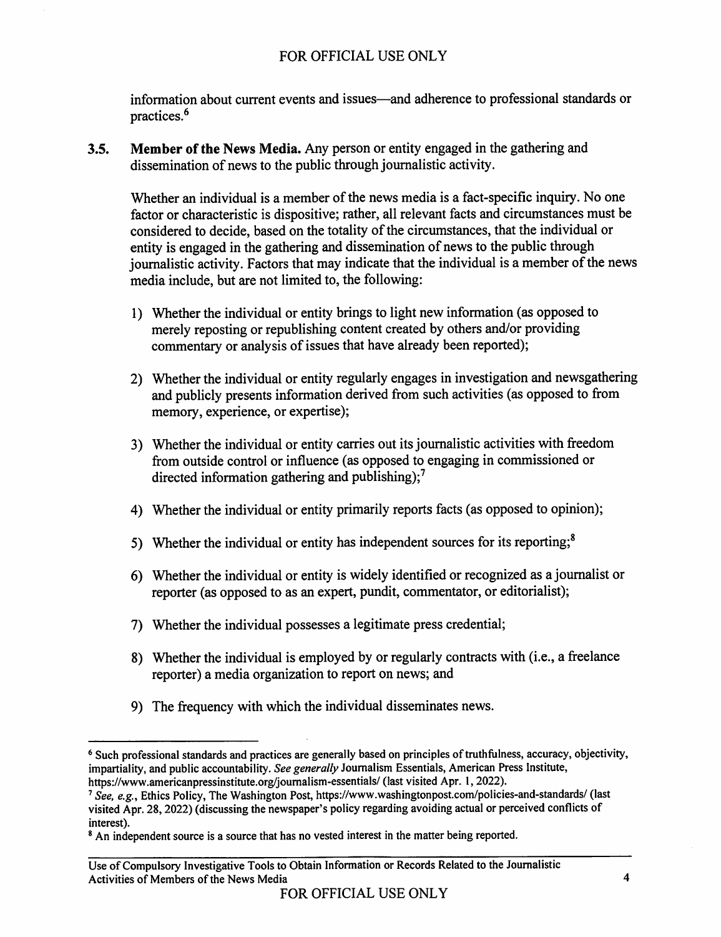information about current events and issues—and adherence to professional standards or practices.<sup>6</sup>

Member of the News Media. Any person or entity engaged in the gathering and  $3.5.$ dissemination of news to the public through journalistic activity.

Whether an individual is a member of the news media is a fact-specific inquiry. No one factor or characteristic is dispositive; rather, all relevant facts and circumstances must be considered to decide, based on the totality of the circumstances, that the individual or entity is engaged in the gathering and dissemination of news to the public through journalistic activity. Factors that may indicate that the individual is a member of the news media include, but are not limited to, the following:

- 1) Whether the individual or entity brings to light new information (as opposed to merely reposting or republishing content created by others and/or providing commentary or analysis of issues that have already been reported);
- 2) Whether the individual or entity regularly engages in investigation and newsgathering and publicly presents information derived from such activities (as opposed to from memory, experience, or expertise);
- 3) Whether the individual or entity carries out its journalistic activities with freedom from outside control or influence (as opposed to engaging in commissioned or directed information gathering and publishing);<sup>7</sup>
- 4) Whether the individual or entity primarily reports facts (as opposed to opinion);
- 5) Whether the individual or entity has independent sources for its reporting;<sup>8</sup>
- 6) Whether the individual or entity is widely identified or recognized as a journalist or reporter (as opposed to as an expert, pundit, commentator, or editorialist);
- 7) Whether the individual possesses a legitimate press credential;
- 8) Whether the individual is employed by or regularly contracts with (i.e., a freelance reporter) a media organization to report on news; and
- 9) The frequency with which the individual disseminates news.

<sup>&</sup>lt;sup>6</sup> Such professional standards and practices are generally based on principles of truthfulness, accuracy, objectivity, impartiality, and public accountability. See generally Journalism Essentials, American Press Institute, https://www.americanpressinstitute.org/journalism-essentials/ (last visited Apr. 1, 2022).

<sup>&</sup>lt;sup>7</sup> See, e.g., Ethics Policy, The Washington Post, https://www.washingtonpost.com/policies-and-standards/ (last visited Apr. 28, 2022) (discussing the newspaper's policy regarding avoiding actual or perceived conflicts of interest).

<sup>&</sup>lt;sup>8</sup> An independent source is a source that has no vested interest in the matter being reported.

Use of Compulsory Investigative Tools to Obtain Information or Records Related to the Journalistic Activities of Members of the News Media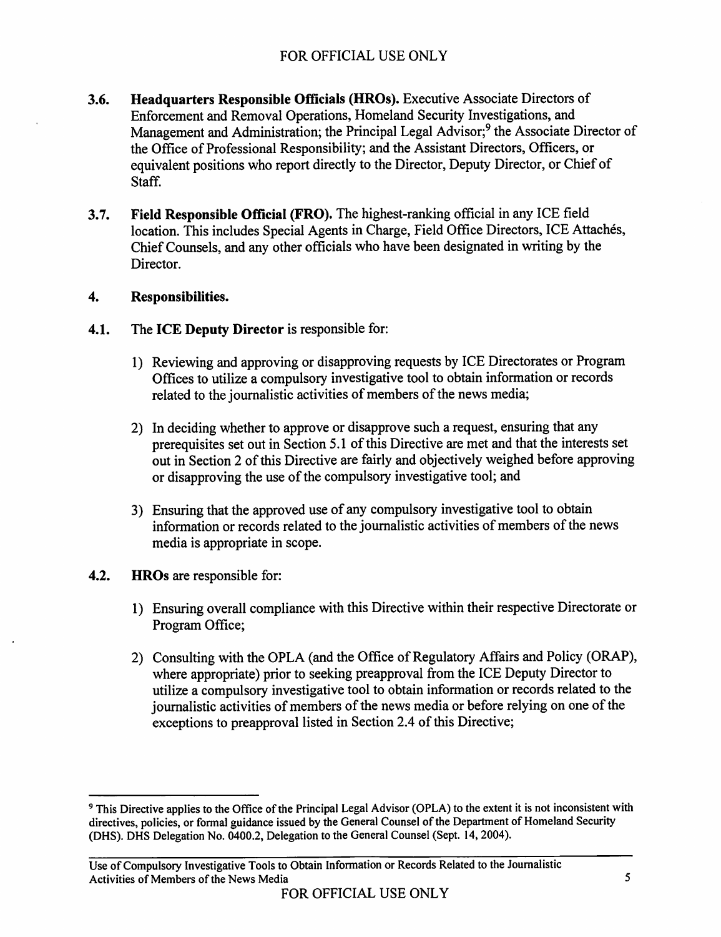- **Headquarters Responsible Officials (HROs).** Executive Associate Directors of  $3.6.$ Enforcement and Removal Operations, Homeland Security Investigations, and Management and Administration; the Principal Legal Advisor;<sup>9</sup> the Associate Director of the Office of Professional Responsibility; and the Assistant Directors, Officers, or equivalent positions who report directly to the Director, Deputy Director, or Chief of Staff.
- $3.7.$ Field Responsible Official (FRO). The highest-ranking official in any ICE field location. This includes Special Agents in Charge, Field Office Directors, ICE Attachés, Chief Counsels, and any other officials who have been designated in writing by the Director.

### $\overline{4}$ . Responsibilities.

- $4.1.$ The ICE Deputy Director is responsible for:
	- 1) Reviewing and approving or disapproving requests by ICE Directorates or Program Offices to utilize a compulsory investigative tool to obtain information or records related to the journalistic activities of members of the news media;
	- 2) In deciding whether to approve or disapprove such a request, ensuring that any prerequisites set out in Section 5.1 of this Directive are met and that the interests set out in Section 2 of this Directive are fairly and objectively weighed before approving or disapproving the use of the compulsory investigative tool; and
	- 3) Ensuring that the approved use of any compulsory investigative tool to obtain information or records related to the journalistic activities of members of the news media is appropriate in scope.
- $4.2.$ **HROs** are responsible for:
	- 1) Ensuring overall compliance with this Directive within their respective Directorate or Program Office;
	- 2) Consulting with the OPLA (and the Office of Regulatory Affairs and Policy (ORAP), where appropriate) prior to seeking preapproval from the ICE Deputy Director to utilize a compulsory investigative tool to obtain information or records related to the journalistic activities of members of the news media or before relying on one of the exceptions to preapproval listed in Section 2.4 of this Directive;

<sup>&</sup>lt;sup>9</sup> This Directive applies to the Office of the Principal Legal Advisor (OPLA) to the extent it is not inconsistent with directives, policies, or formal guidance issued by the General Counsel of the Department of Homeland Security (DHS). DHS Delegation No. 0400.2, Delegation to the General Counsel (Sept. 14, 2004).

Use of Compulsory Investigative Tools to Obtain Information or Records Related to the Journalistic Activities of Members of the News Media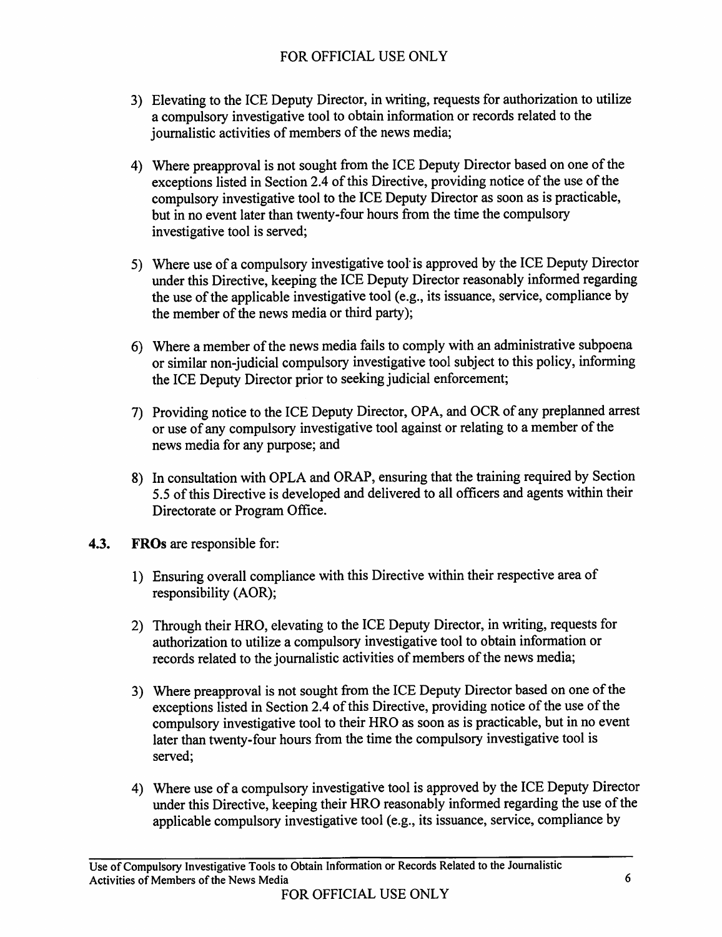- 3) Elevating to the ICE Deputy Director, in writing, requests for authorization to utilize a compulsory investigative tool to obtain information or records related to the journalistic activities of members of the news media;
- 4) Where preapproval is not sought from the ICE Deputy Director based on one of the exceptions listed in Section 2.4 of this Directive, providing notice of the use of the compulsory investigative tool to the ICE Deputy Director as soon as is practicable, but in no event later than twenty-four hours from the time the compulsory investigative tool is served;
- 5) Where use of a compulsory investigative tool is approved by the ICE Deputy Director under this Directive, keeping the ICE Deputy Director reasonably informed regarding the use of the applicable investigative tool (e.g., its issuance, service, compliance by the member of the news media or third party);
- 6) Where a member of the news media fails to comply with an administrative subpoena or similar non-judicial compulsory investigative tool subject to this policy, informing the ICE Deputy Director prior to seeking judicial enforcement:
- 7) Providing notice to the ICE Deputy Director, OPA, and OCR of any preplanned arrest or use of any compulsory investigative tool against or relating to a member of the news media for any purpose; and
- 8) In consultation with OPLA and ORAP, ensuring that the training required by Section 5.5 of this Directive is developed and delivered to all officers and agents within their Directorate or Program Office.
- $4.3.$ FROs are responsible for:
	- 1) Ensuring overall compliance with this Directive within their respective area of responsibility (AOR);
	- 2) Through their HRO, elevating to the ICE Deputy Director, in writing, requests for authorization to utilize a compulsory investigative tool to obtain information or records related to the journalistic activities of members of the news media;
	- 3) Where preapproval is not sought from the ICE Deputy Director based on one of the exceptions listed in Section 2.4 of this Directive, providing notice of the use of the compulsory investigative tool to their HRO as soon as is practicable, but in no event later than twenty-four hours from the time the compulsory investigative tool is served:
	- 4) Where use of a compulsory investigative tool is approved by the ICE Deputy Director under this Directive, keeping their HRO reasonably informed regarding the use of the applicable compulsory investigative tool (e.g., its issuance, service, compliance by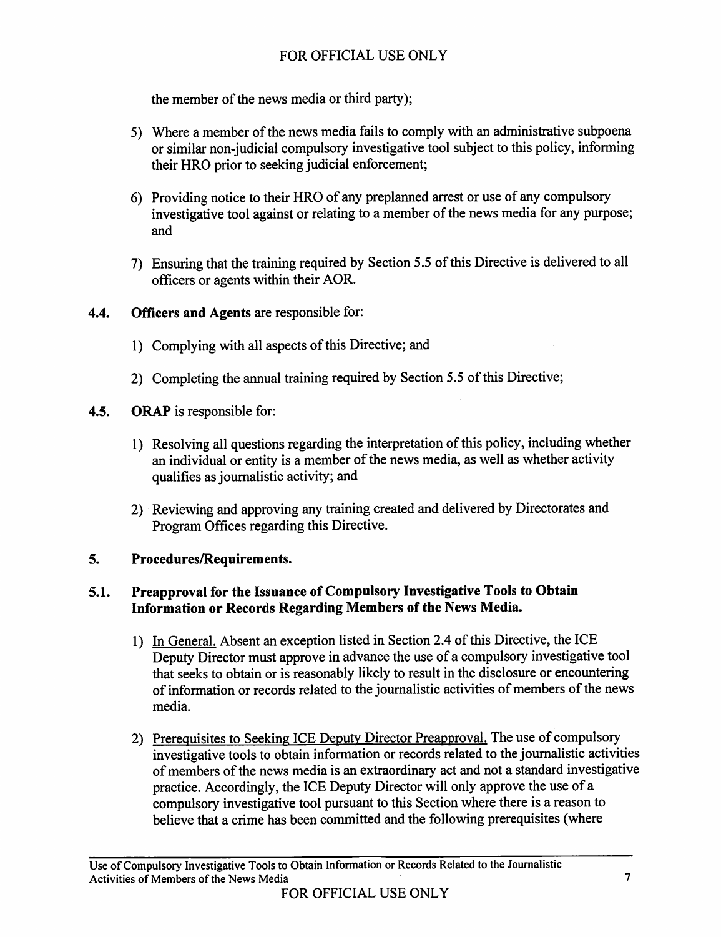the member of the news media or third party);

- 5) Where a member of the news media fails to comply with an administrative subpoena or similar non-judicial compulsory investigative tool subject to this policy, informing their HRO prior to seeking judicial enforcement;
- 6) Providing notice to their HRO of any preplanned arrest or use of any compulsory investigative tool against or relating to a member of the news media for any purpose; and
- 7) Ensuring that the training required by Section 5.5 of this Directive is delivered to all officers or agents within their AOR.

### $4.4.$ **Officers and Agents are responsible for:**

- 1) Complying with all aspects of this Directive; and
- 2) Completing the annual training required by Section 5.5 of this Directive;
- $4.5.$ **ORAP** is responsible for:
	- 1) Resolving all questions regarding the interpretation of this policy, including whether an individual or entity is a member of the news media, as well as whether activity qualifies as journalistic activity; and
	- 2) Reviewing and approving any training created and delivered by Directorates and Program Offices regarding this Directive.

### 5. Procedures/Requirements.

## Preapproval for the Issuance of Compulsory Investigative Tools to Obtain  $5.1.$ Information or Records Regarding Members of the News Media.

- 1) In General. Absent an exception listed in Section 2.4 of this Directive, the ICE Deputy Director must approve in advance the use of a compulsory investigative tool that seeks to obtain or is reasonably likely to result in the disclosure or encountering of information or records related to the journalistic activities of members of the news media.
- 2) Prerequisites to Seeking ICE Deputy Director Preapproval. The use of compulsory investigative tools to obtain information or records related to the journalistic activities of members of the news media is an extraordinary act and not a standard investigative practice. Accordingly, the ICE Deputy Director will only approve the use of a compulsory investigative tool pursuant to this Section where there is a reason to believe that a crime has been committed and the following prerequisites (where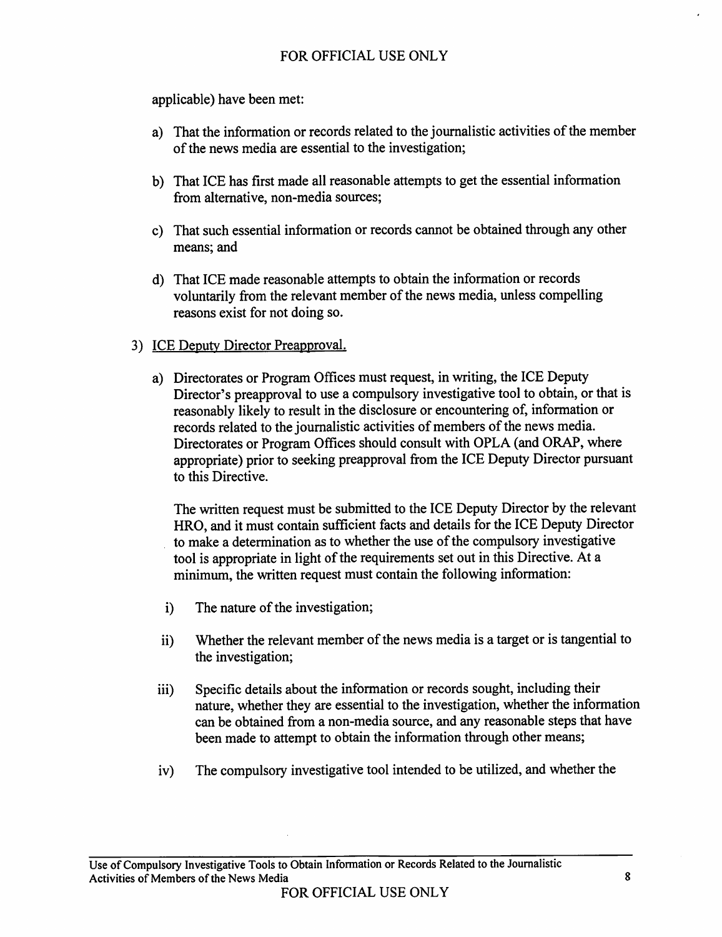applicable) have been met:

- a) That the information or records related to the journalistic activities of the member of the news media are essential to the investigation;
- b) That ICE has first made all reasonable attempts to get the essential information from alternative, non-media sources;
- c) That such essential information or records cannot be obtained through any other means: and
- d) That ICE made reasonable attempts to obtain the information or records voluntarily from the relevant member of the news media, unless compelling reasons exist for not doing so.

## 3) ICE Deputy Director Preapproval.

a) Directorates or Program Offices must request, in writing, the ICE Deputy Director's preapproval to use a compulsory investigative tool to obtain, or that is reasonably likely to result in the disclosure or encountering of, information or records related to the journalistic activities of members of the news media. Directorates or Program Offices should consult with OPLA (and ORAP, where appropriate) prior to seeking preapproval from the ICE Deputy Director pursuant to this Directive.

The written request must be submitted to the ICE Deputy Director by the relevant HRO, and it must contain sufficient facts and details for the ICE Deputy Director to make a determination as to whether the use of the compulsory investigative tool is appropriate in light of the requirements set out in this Directive. At a minimum, the written request must contain the following information:

- $i)$ The nature of the investigation;
- Whether the relevant member of the news media is a target or is tangential to ii) the investigation;
- Specific details about the information or records sought, including their iii) nature, whether they are essential to the investigation, whether the information can be obtained from a non-media source, and any reasonable steps that have been made to attempt to obtain the information through other means;
- The compulsory investigative tool intended to be utilized, and whether the  $iv)$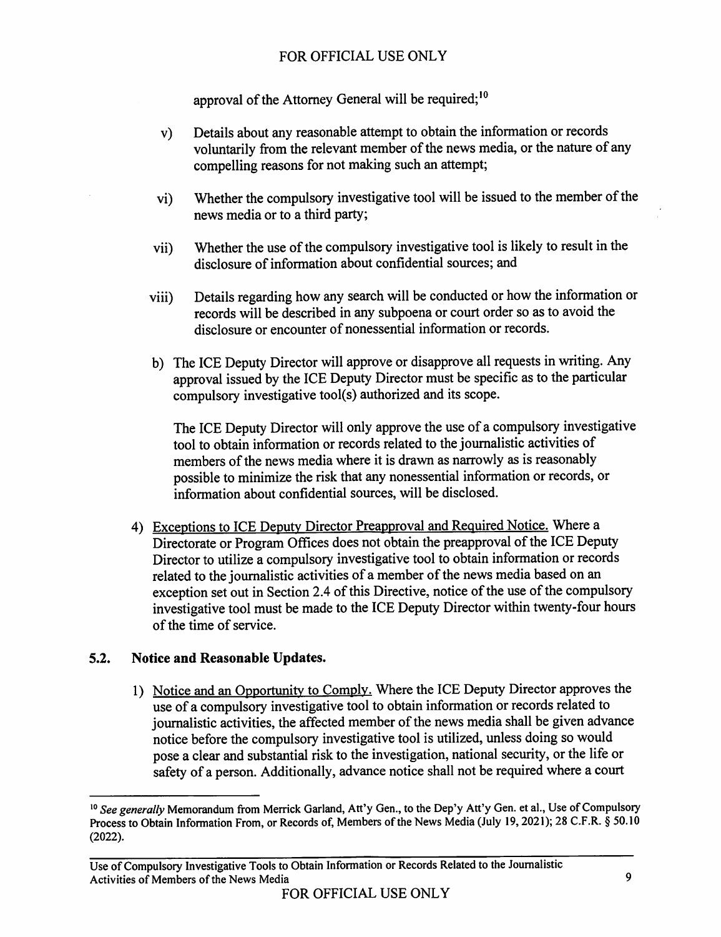approval of the Attorney General will be required;<sup>10</sup>

- Details about any reasonable attempt to obtain the information or records  $\mathbf{v}$ voluntarily from the relevant member of the news media, or the nature of any compelling reasons for not making such an attempt;
- Whether the compulsory investigative tool will be issued to the member of the  $vi)$ news media or to a third party;
- Whether the use of the compulsory investigative tool is likely to result in the vii) disclosure of information about confidential sources; and
- Details regarding how any search will be conducted or how the information or viii) records will be described in any subpoena or court order so as to avoid the disclosure or encounter of nonessential information or records.
- b) The ICE Deputy Director will approve or disapprove all requests in writing. Any approval issued by the ICE Deputy Director must be specific as to the particular compulsory investigative tool(s) authorized and its scope.

The ICE Deputy Director will only approve the use of a compulsory investigative tool to obtain information or records related to the journalistic activities of members of the news media where it is drawn as narrowly as is reasonably possible to minimize the risk that any nonessential information or records, or information about confidential sources, will be disclosed.

4) Exceptions to ICE Deputy Director Preapproval and Required Notice. Where a Directorate or Program Offices does not obtain the preapproval of the ICE Deputy Director to utilize a compulsory investigative tool to obtain information or records related to the journalistic activities of a member of the news media based on an exception set out in Section 2.4 of this Directive, notice of the use of the compulsory investigative tool must be made to the ICE Deputy Director within twenty-four hours of the time of service.

#### $5.2.$ Notice and Reasonable Updates.

1) Notice and an Opportunity to Comply. Where the ICE Deputy Director approves the use of a compulsory investigative tool to obtain information or records related to journalistic activities, the affected member of the news media shall be given advance notice before the compulsory investigative tool is utilized, unless doing so would pose a clear and substantial risk to the investigation, national security, or the life or safety of a person. Additionally, advance notice shall not be required where a court

<sup>&</sup>lt;sup>10</sup> See generally Memorandum from Merrick Garland, Att'y Gen., to the Dep'y Att'y Gen. et al., Use of Compulsory Process to Obtain Information From, or Records of, Members of the News Media (July 19, 2021); 28 C.F.R. § 50.10  $(2022).$ 

Use of Compulsory Investigative Tools to Obtain Information or Records Related to the Journalistic Activities of Members of the News Media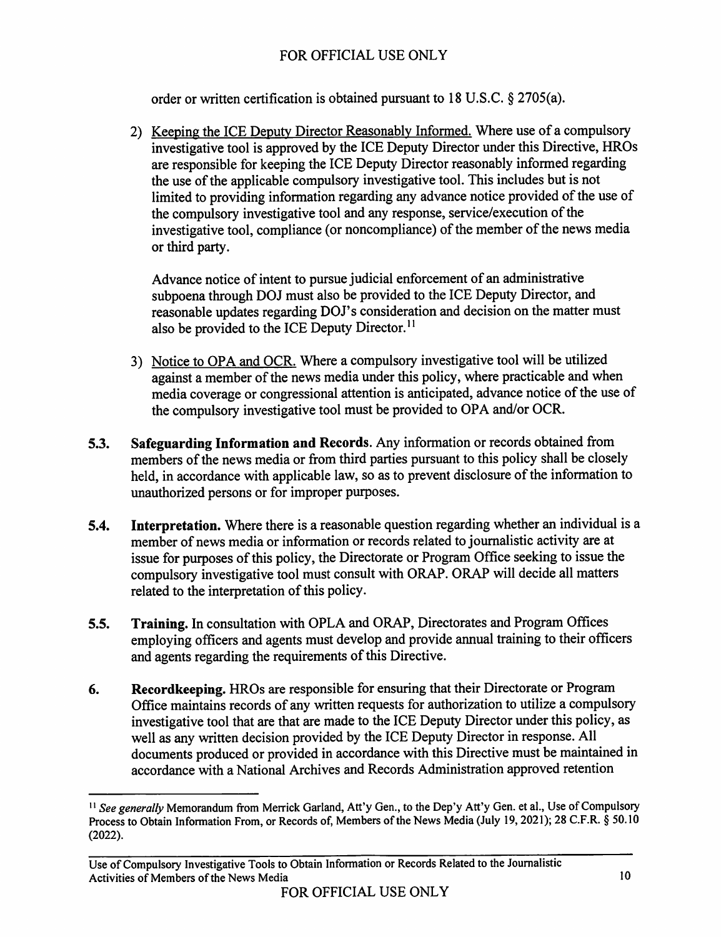order or written certification is obtained pursuant to 18 U.S.C. § 2705(a).

2) Keeping the ICE Deputy Director Reasonably Informed. Where use of a compulsory investigative tool is approved by the ICE Deputy Director under this Directive, HROs are responsible for keeping the ICE Deputy Director reasonably informed regarding the use of the applicable compulsory investigative tool. This includes but is not limited to providing information regarding any advance notice provided of the use of the compulsory investigative tool and any response, service/execution of the investigative tool, compliance (or noncompliance) of the member of the news media or third party.

Advance notice of intent to pursue judicial enforcement of an administrative subpoena through DOJ must also be provided to the ICE Deputy Director, and reasonable updates regarding DOJ's consideration and decision on the matter must also be provided to the ICE Deputy Director.<sup>11</sup>

- 3) Notice to OPA and OCR. Where a compulsory investigative tool will be utilized against a member of the news media under this policy, where practicable and when media coverage or congressional attention is anticipated, advance notice of the use of the compulsory investigative tool must be provided to OPA and/or OCR.
- Safeguarding Information and Records. Any information or records obtained from  $5.3.$ members of the news media or from third parties pursuant to this policy shall be closely held, in accordance with applicable law, so as to prevent disclosure of the information to unauthorized persons or for improper purposes.
- Interpretation. Where there is a reasonable question regarding whether an individual is a  $5.4.$ member of news media or information or records related to journalistic activity are at issue for purposes of this policy, the Directorate or Program Office seeking to issue the compulsory investigative tool must consult with ORAP. ORAP will decide all matters related to the interpretation of this policy.
- Training. In consultation with OPLA and ORAP, Directorates and Program Offices  $5.5.$ employing officers and agents must develop and provide annual training to their officers and agents regarding the requirements of this Directive.
- 6. Recordkeeping. HROs are responsible for ensuring that their Directorate or Program Office maintains records of any written requests for authorization to utilize a compulsory investigative tool that are that are made to the ICE Deputy Director under this policy, as well as any written decision provided by the ICE Deputy Director in response. All documents produced or provided in accordance with this Directive must be maintained in accordance with a National Archives and Records Administration approved retention

<sup>&</sup>lt;sup>11</sup> See generally Memorandum from Merrick Garland, Att'y Gen., to the Dep'y Att'y Gen. et al., Use of Compulsory Process to Obtain Information From, or Records of, Members of the News Media (July 19, 2021); 28 C.F.R. § 50.10  $(2022).$ 

Use of Compulsory Investigative Tools to Obtain Information or Records Related to the Journalistic Activities of Members of the News Media